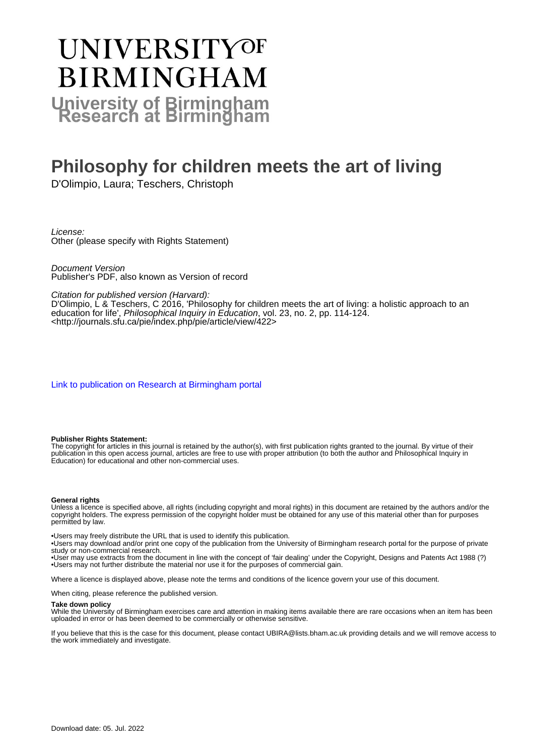# UNIVERSITYOF **BIRMINGHAM University of Birmingham**

# **Philosophy for children meets the art of living**

D'Olimpio, Laura; Teschers, Christoph

License: Other (please specify with Rights Statement)

Document Version Publisher's PDF, also known as Version of record

Citation for published version (Harvard):

D'Olimpio, L & Teschers, C 2016, 'Philosophy for children meets the art of living: a holistic approach to an education for life', Philosophical Inquiry in Education, vol. 23, no. 2, pp. 114-124. <<http://journals.sfu.ca/pie/index.php/pie/article/view/422>>

[Link to publication on Research at Birmingham portal](https://birmingham.elsevierpure.com/en/publications/60084d95-c8a1-4beb-be7c-1080d18ff0d9)

#### **Publisher Rights Statement:**

The copyright for articles in this journal is retained by the author(s), with first publication rights granted to the journal. By virtue of their publication in this open access journal, articles are free to use with proper attribution (to both the author and Philosophical Inquiry in Education) for educational and other non-commercial uses.

#### **General rights**

Unless a licence is specified above, all rights (including copyright and moral rights) in this document are retained by the authors and/or the copyright holders. The express permission of the copyright holder must be obtained for any use of this material other than for purposes permitted by law.

• Users may freely distribute the URL that is used to identify this publication.

• Users may download and/or print one copy of the publication from the University of Birmingham research portal for the purpose of private study or non-commercial research.

• User may use extracts from the document in line with the concept of 'fair dealing' under the Copyright, Designs and Patents Act 1988 (?) • Users may not further distribute the material nor use it for the purposes of commercial gain.

Where a licence is displayed above, please note the terms and conditions of the licence govern your use of this document.

When citing, please reference the published version.

#### **Take down policy**

While the University of Birmingham exercises care and attention in making items available there are rare occasions when an item has been uploaded in error or has been deemed to be commercially or otherwise sensitive.

If you believe that this is the case for this document, please contact UBIRA@lists.bham.ac.uk providing details and we will remove access to the work immediately and investigate.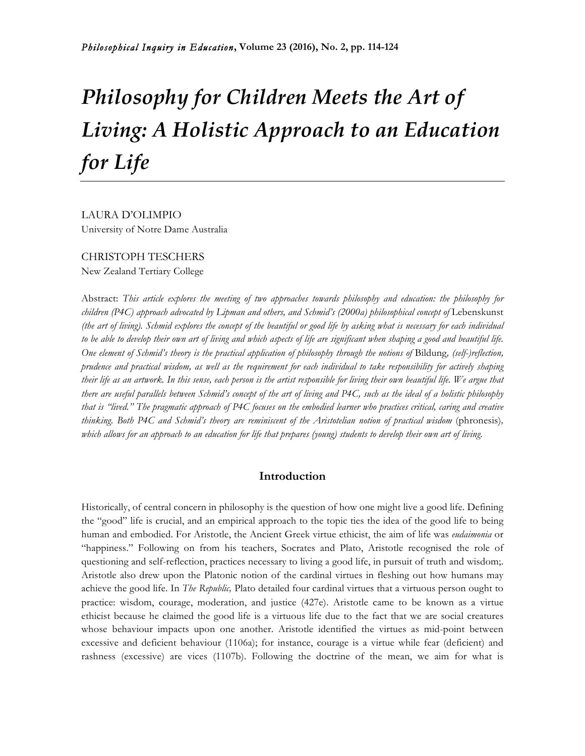# *Philosophy for Children Meets the Art of Living: A Holistic Approach to an Education for Life*

LAURA D'OLIMPIO University of Notre Dame Australia

## CHRISTOPH TESCHERS New Zealand Tertiary College

Abstract: *This article explores the meeting of two approaches towards philosophy and education: the philosophy for children (P4C) approach advocated by Lipman and others, and Schmid's (2000a) philosophical concept of Lebenskunst (the art of living). Schmid explores the concept of the beautiful or good life by asking what is necessary for each individual to be able to develop their own art of living and which aspects of life are significant when shaping a good and beautiful life. One element of Schmid's theory is the practical application of philosophy through the notions of* Bildung*, (self-)reflection, prudence and practical wisdom, as well as the requirement for each individual to take responsibility for actively shaping their life as an artwork. In this sense, each person is the artist responsible for living their own beautiful life. We argue that there are useful parallels between Schmid's concept of the art of living and P4C, such as the ideal of a holistic philosophy that is "lived." The pragmatic approach of P4C focuses on the embodied learner who practices critical, caring and creative thinking. Both P4C and Schmid's theory are reminiscent of the Aristotelian notion of practical wisdom* (phronesis)*, which allows for an approach to an education for life that prepares (young) students to develop their own art of living.*

# **Introduction**

Historically, of central concern in philosophy is the question of how one might live a good life. Defining the "good" life is crucial, and an empirical approach to the topic ties the idea of the good life to being human and embodied. For Aristotle, the Ancient Greek virtue ethicist, the aim of life was *eudaimonia* or "happiness." Following on from his teachers, Socrates and Plato, Aristotle recognised the role of questioning and self-reflection, practices necessary to living a good life, in pursuit of truth and wisdom;. Aristotle also drew upon the Platonic notion of the cardinal virtues in fleshing out how humans may achieve the good life. In *The Republic,* Plato detailed four cardinal virtues that a virtuous person ought to practice: wisdom, courage, moderation, and justice (427e). Aristotle came to be known as a virtue ethicist because he claimed the good life is a virtuous life due to the fact that we are social creatures whose behaviour impacts upon one another. Aristotle identified the virtues as mid-point between excessive and deficient behaviour (1106a); for instance, courage is a virtue while fear (deficient) and rashness (excessive) are vices (1107b). Following the doctrine of the mean, we aim for what is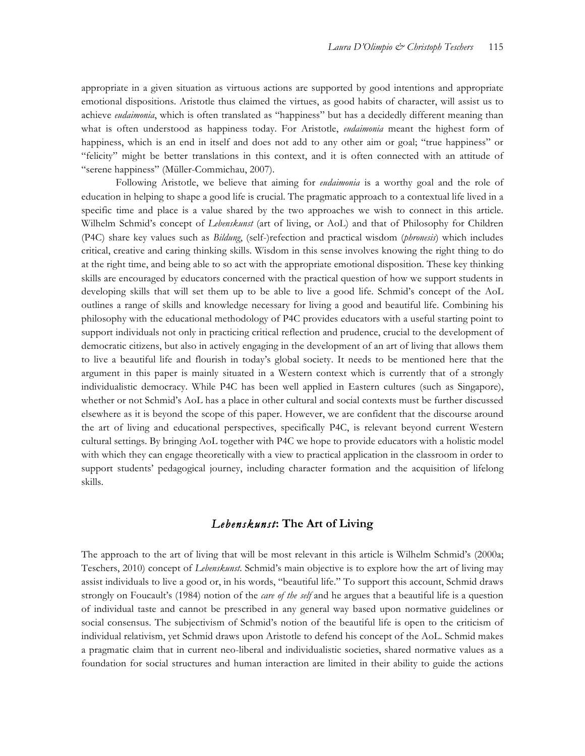appropriate in a given situation as virtuous actions are supported by good intentions and appropriate emotional dispositions. Aristotle thus claimed the virtues, as good habits of character, will assist us to achieve *eudaimonia*, which is often translated as "happiness" but has a decidedly different meaning than what is often understood as happiness today. For Aristotle, *eudaimonia* meant the highest form of happiness, which is an end in itself and does not add to any other aim or goal; "true happiness" or "felicity" might be better translations in this context, and it is often connected with an attitude of "serene happiness" (Müller-Commichau, 2007).

Following Aristotle, we believe that aiming for *eudaimonia* is a worthy goal and the role of education in helping to shape a good life is crucial. The pragmatic approach to a contextual life lived in a specific time and place is a value shared by the two approaches we wish to connect in this article. Wilhelm Schmid's concept of *Lebenskunst* (art of living, or AoL) and that of Philosophy for Children (P4C) share key values such as *Bildung*, (self-)refection and practical wisdom (*phronesis*) which includes critical, creative and caring thinking skills. Wisdom in this sense involves knowing the right thing to do at the right time, and being able to so act with the appropriate emotional disposition. These key thinking skills are encouraged by educators concerned with the practical question of how we support students in developing skills that will set them up to be able to live a good life. Schmid's concept of the AoL outlines a range of skills and knowledge necessary for living a good and beautiful life. Combining his philosophy with the educational methodology of P4C provides educators with a useful starting point to support individuals not only in practicing critical reflection and prudence, crucial to the development of democratic citizens, but also in actively engaging in the development of an art of living that allows them to live a beautiful life and flourish in today's global society. It needs to be mentioned here that the argument in this paper is mainly situated in a Western context which is currently that of a strongly individualistic democracy. While P4C has been well applied in Eastern cultures (such as Singapore), whether or not Schmid's AoL has a place in other cultural and social contexts must be further discussed elsewhere as it is beyond the scope of this paper. However, we are confident that the discourse around the art of living and educational perspectives, specifically P4C, is relevant beyond current Western cultural settings. By bringing AoL together with P4C we hope to provide educators with a holistic model with which they can engage theoretically with a view to practical application in the classroom in order to support students' pedagogical journey, including character formation and the acquisition of lifelong skills.

### *Lebenskunst***: The Art of Living**

The approach to the art of living that will be most relevant in this article is Wilhelm Schmid's (2000a; Teschers, 2010) concept of *Lebenskunst*. Schmid's main objective is to explore how the art of living may assist individuals to live a good or, in his words, "beautiful life." To support this account, Schmid draws strongly on Foucault's (1984) notion of the *care of the self* and he argues that a beautiful life is a question of individual taste and cannot be prescribed in any general way based upon normative guidelines or social consensus. The subjectivism of Schmid's notion of the beautiful life is open to the criticism of individual relativism, yet Schmid draws upon Aristotle to defend his concept of the AoL. Schmid makes a pragmatic claim that in current neo-liberal and individualistic societies, shared normative values as a foundation for social structures and human interaction are limited in their ability to guide the actions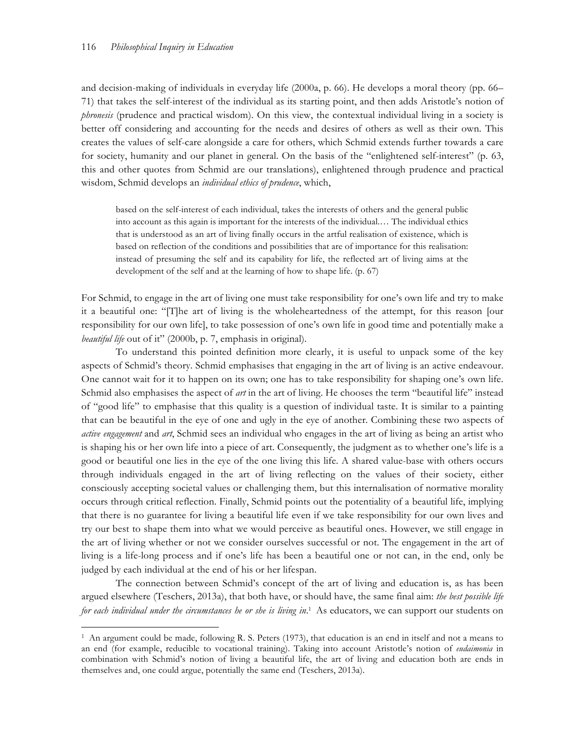$\overline{a}$ 

and decision-making of individuals in everyday life (2000a, p. 66). He develops a moral theory (pp. 66– 71) that takes the self-interest of the individual as its starting point, and then adds Aristotle's notion of *phronesis* (prudence and practical wisdom). On this view, the contextual individual living in a society is better off considering and accounting for the needs and desires of others as well as their own. This creates the values of self-care alongside a care for others, which Schmid extends further towards a care for society, humanity and our planet in general. On the basis of the "enlightened self-interest" (p. 63, this and other quotes from Schmid are our translations), enlightened through prudence and practical wisdom, Schmid develops an *individual ethics of prudence*, which,

based on the self-interest of each individual, takes the interests of others and the general public into account as this again is important for the interests of the individual.… The individual ethics that is understood as an art of living finally occurs in the artful realisation of existence, which is based on reflection of the conditions and possibilities that are of importance for this realisation: instead of presuming the self and its capability for life, the reflected art of living aims at the development of the self and at the learning of how to shape life. (p. 67)

For Schmid, to engage in the art of living one must take responsibility for one's own life and try to make it a beautiful one: "[T]he art of living is the wholeheartedness of the attempt, for this reason [our responsibility for our own life], to take possession of one's own life in good time and potentially make a *beautiful life* out of it" (2000b, p. 7, emphasis in original).

To understand this pointed definition more clearly, it is useful to unpack some of the key aspects of Schmid's theory. Schmid emphasises that engaging in the art of living is an active endeavour. One cannot wait for it to happen on its own; one has to take responsibility for shaping one's own life. Schmid also emphasises the aspect of *art* in the art of living. He chooses the term "beautiful life" instead of "good life" to emphasise that this quality is a question of individual taste. It is similar to a painting that can be beautiful in the eye of one and ugly in the eye of another. Combining these two aspects of *active engagement* and *art*, Schmid sees an individual who engages in the art of living as being an artist who is shaping his or her own life into a piece of art. Consequently, the judgment as to whether one's life is a good or beautiful one lies in the eye of the one living this life. A shared value-base with others occurs through individuals engaged in the art of living reflecting on the values of their society, either consciously accepting societal values or challenging them, but this internalisation of normative morality occurs through critical reflection. Finally, Schmid points out the potentiality of a beautiful life, implying that there is no guarantee for living a beautiful life even if we take responsibility for our own lives and try our best to shape them into what we would perceive as beautiful ones. However, we still engage in the art of living whether or not we consider ourselves successful or not. The engagement in the art of living is a life-long process and if one's life has been a beautiful one or not can, in the end, only be judged by each individual at the end of his or her lifespan.

The connection between Schmid's concept of the art of living and education is, as has been argued elsewhere (Teschers, 2013a), that both have, or should have, the same final aim: *the best possible life for each individual under the circumstances he or she is living in*. <sup>1</sup> As educators, we can support our students on

<sup>1</sup> An argument could be made, following R. S. Peters (1973), that education is an end in itself and not a means to an end (for example, reducible to vocational training). Taking into account Aristotle's notion of *eudaimonia* in combination with Schmid's notion of living a beautiful life, the art of living and education both are ends in themselves and, one could argue, potentially the same end (Teschers, 2013a).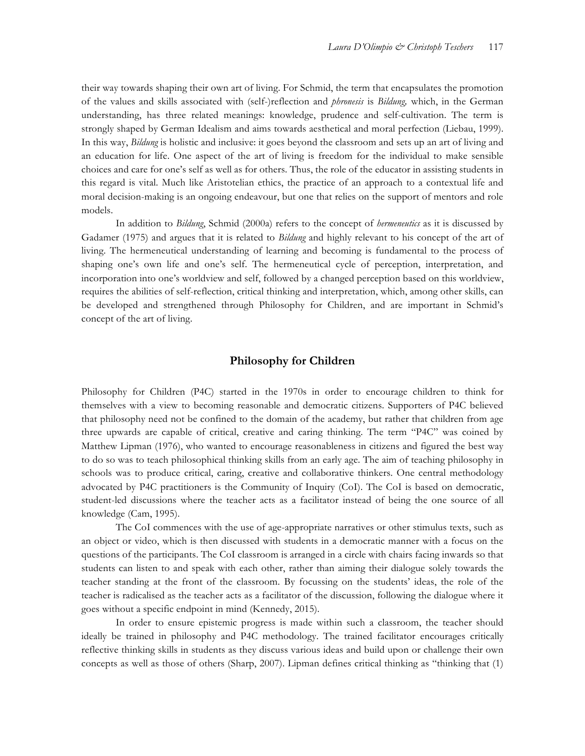their way towards shaping their own art of living. For Schmid, the term that encapsulates the promotion of the values and skills associated with (self-)reflection and *phronesis* is *Bildung,* which, in the German understanding, has three related meanings: knowledge, prudence and self-cultivation. The term is strongly shaped by German Idealism and aims towards aesthetical and moral perfection (Liebau, 1999). In this way, *Bildung* is holistic and inclusive: it goes beyond the classroom and sets up an art of living and an education for life. One aspect of the art of living is freedom for the individual to make sensible choices and care for one's self as well as for others. Thus, the role of the educator in assisting students in this regard is vital. Much like Aristotelian ethics, the practice of an approach to a contextual life and moral decision-making is an ongoing endeavour, but one that relies on the support of mentors and role models.

In addition to *Bildung*, Schmid (2000a) refers to the concept of *hermeneutics* as it is discussed by Gadamer (1975) and argues that it is related to *Bildung* and highly relevant to his concept of the art of living. The hermeneutical understanding of learning and becoming is fundamental to the process of shaping one's own life and one's self. The hermeneutical cycle of perception, interpretation, and incorporation into one's worldview and self, followed by a changed perception based on this worldview, requires the abilities of self-reflection, critical thinking and interpretation, which, among other skills, can be developed and strengthened through Philosophy for Children, and are important in Schmid's concept of the art of living.

#### **Philosophy for Children**

Philosophy for Children (P4C) started in the 1970s in order to encourage children to think for themselves with a view to becoming reasonable and democratic citizens. Supporters of P4C believed that philosophy need not be confined to the domain of the academy, but rather that children from age three upwards are capable of critical, creative and caring thinking. The term "P4C" was coined by Matthew Lipman (1976), who wanted to encourage reasonableness in citizens and figured the best way to do so was to teach philosophical thinking skills from an early age. The aim of teaching philosophy in schools was to produce critical, caring, creative and collaborative thinkers. One central methodology advocated by P4C practitioners is the Community of Inquiry (CoI). The CoI is based on democratic, student-led discussions where the teacher acts as a facilitator instead of being the one source of all knowledge (Cam, 1995).

The CoI commences with the use of age-appropriate narratives or other stimulus texts, such as an object or video, which is then discussed with students in a democratic manner with a focus on the questions of the participants. The CoI classroom is arranged in a circle with chairs facing inwards so that students can listen to and speak with each other, rather than aiming their dialogue solely towards the teacher standing at the front of the classroom. By focussing on the students' ideas, the role of the teacher is radicalised as the teacher acts as a facilitator of the discussion, following the dialogue where it goes without a specific endpoint in mind (Kennedy, 2015).

In order to ensure epistemic progress is made within such a classroom, the teacher should ideally be trained in philosophy and P4C methodology. The trained facilitator encourages critically reflective thinking skills in students as they discuss various ideas and build upon or challenge their own concepts as well as those of others (Sharp, 2007). Lipman defines critical thinking as "thinking that (1)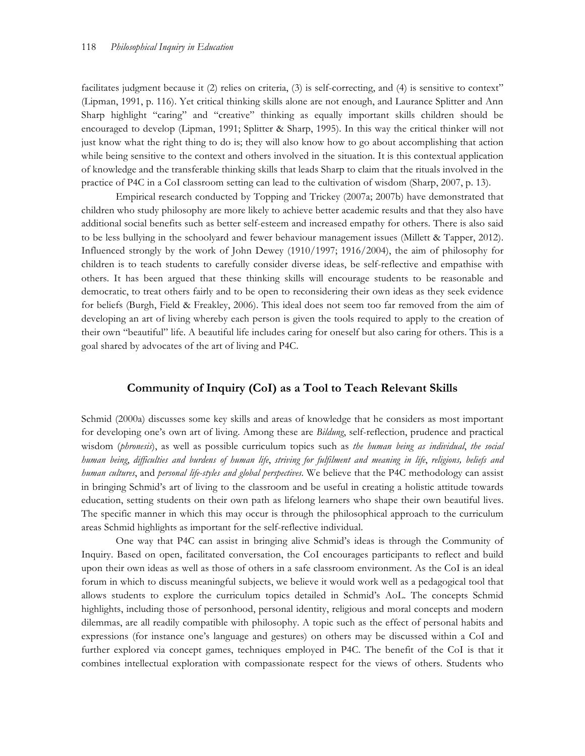facilitates judgment because it (2) relies on criteria, (3) is self-correcting, and (4) is sensitive to context" (Lipman, 1991, p. 116). Yet critical thinking skills alone are not enough, and Laurance Splitter and Ann Sharp highlight "caring" and "creative" thinking as equally important skills children should be encouraged to develop (Lipman, 1991; Splitter & Sharp, 1995). In this way the critical thinker will not just know what the right thing to do is; they will also know how to go about accomplishing that action while being sensitive to the context and others involved in the situation. It is this contextual application of knowledge and the transferable thinking skills that leads Sharp to claim that the rituals involved in the practice of P4C in a CoI classroom setting can lead to the cultivation of wisdom (Sharp, 2007, p. 13).

Empirical research conducted by Topping and Trickey (2007a; 2007b) have demonstrated that children who study philosophy are more likely to achieve better academic results and that they also have additional social benefits such as better self-esteem and increased empathy for others. There is also said to be less bullying in the schoolyard and fewer behaviour management issues (Millett & Tapper, 2012). Influenced strongly by the work of John Dewey (1910/1997; 1916/2004), the aim of philosophy for children is to teach students to carefully consider diverse ideas, be self-reflective and empathise with others. It has been argued that these thinking skills will encourage students to be reasonable and democratic, to treat others fairly and to be open to reconsidering their own ideas as they seek evidence for beliefs (Burgh, Field & Freakley, 2006). This ideal does not seem too far removed from the aim of developing an art of living whereby each person is given the tools required to apply to the creation of their own "beautiful" life. A beautiful life includes caring for oneself but also caring for others. This is a goal shared by advocates of the art of living and P4C.

### **Community of Inquiry (CoI) as a Tool to Teach Relevant Skills**

Schmid (2000a) discusses some key skills and areas of knowledge that he considers as most important for developing one's own art of living. Among these are *Bildung*, self-reflection, prudence and practical wisdom (*phronesis*), as well as possible curriculum topics such as *the human being as individual*, *the social human being*, *difficulties and burdens of human life*, *striving for fulfilment and meaning in life*, *religions, beliefs and human cultures*, and *personal life-styles and global perspectives*. We believe that the P4C methodology can assist in bringing Schmid's art of living to the classroom and be useful in creating a holistic attitude towards education, setting students on their own path as lifelong learners who shape their own beautiful lives. The specific manner in which this may occur is through the philosophical approach to the curriculum areas Schmid highlights as important for the self-reflective individual.

One way that P4C can assist in bringing alive Schmid's ideas is through the Community of Inquiry. Based on open, facilitated conversation, the CoI encourages participants to reflect and build upon their own ideas as well as those of others in a safe classroom environment. As the CoI is an ideal forum in which to discuss meaningful subjects, we believe it would work well as a pedagogical tool that allows students to explore the curriculum topics detailed in Schmid's AoL. The concepts Schmid highlights, including those of personhood, personal identity, religious and moral concepts and modern dilemmas, are all readily compatible with philosophy. A topic such as the effect of personal habits and expressions (for instance one's language and gestures) on others may be discussed within a CoI and further explored via concept games, techniques employed in P4C. The benefit of the CoI is that it combines intellectual exploration with compassionate respect for the views of others. Students who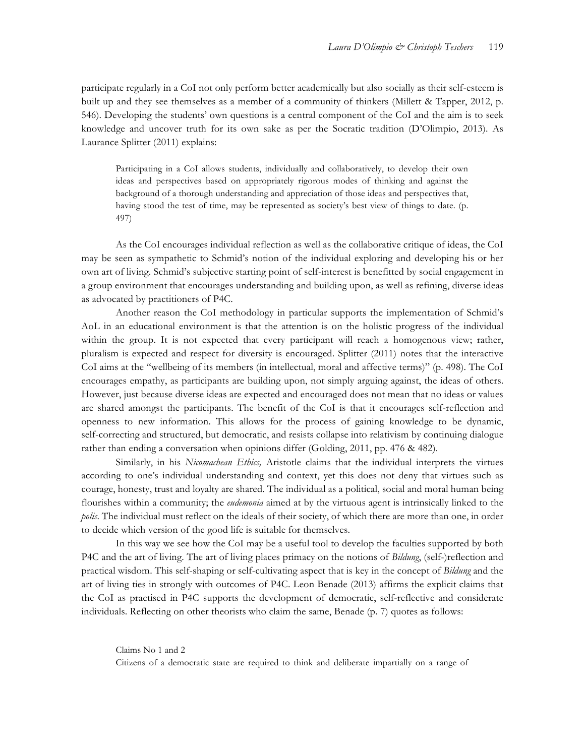participate regularly in a CoI not only perform better academically but also socially as their self-esteem is built up and they see themselves as a member of a community of thinkers (Millett & Tapper, 2012, p. 546). Developing the students' own questions is a central component of the CoI and the aim is to seek knowledge and uncover truth for its own sake as per the Socratic tradition (D'Olimpio, 2013). As Laurance Splitter (2011) explains:

Participating in a CoI allows students, individually and collaboratively, to develop their own ideas and perspectives based on appropriately rigorous modes of thinking and against the background of a thorough understanding and appreciation of those ideas and perspectives that, having stood the test of time, may be represented as society's best view of things to date. (p. 497)

As the CoI encourages individual reflection as well as the collaborative critique of ideas, the CoI may be seen as sympathetic to Schmid's notion of the individual exploring and developing his or her own art of living. Schmid's subjective starting point of self-interest is benefitted by social engagement in a group environment that encourages understanding and building upon, as well as refining, diverse ideas as advocated by practitioners of P4C.

Another reason the CoI methodology in particular supports the implementation of Schmid's AoL in an educational environment is that the attention is on the holistic progress of the individual within the group. It is not expected that every participant will reach a homogenous view; rather, pluralism is expected and respect for diversity is encouraged. Splitter (2011) notes that the interactive CoI aims at the "wellbeing of its members (in intellectual, moral and affective terms)" (p. 498). The CoI encourages empathy, as participants are building upon, not simply arguing against, the ideas of others. However, just because diverse ideas are expected and encouraged does not mean that no ideas or values are shared amongst the participants. The benefit of the CoI is that it encourages self-reflection and openness to new information. This allows for the process of gaining knowledge to be dynamic, self-correcting and structured, but democratic, and resists collapse into relativism by continuing dialogue rather than ending a conversation when opinions differ (Golding, 2011, pp. 476 & 482).

Similarly, in his *Nicomachean Ethics,* Aristotle claims that the individual interprets the virtues according to one's individual understanding and context, yet this does not deny that virtues such as courage, honesty, trust and loyalty are shared. The individual as a political, social and moral human being flourishes within a community; the *eudemonia* aimed at by the virtuous agent is intrinsically linked to the *polis*. The individual must reflect on the ideals of their society, of which there are more than one, in order to decide which version of the good life is suitable for themselves.

In this way we see how the CoI may be a useful tool to develop the faculties supported by both P4C and the art of living. The art of living places primacy on the notions of *Bildung*, (self-)reflection and practical wisdom. This self-shaping or self-cultivating aspect that is key in the concept of *Bildung* and the art of living ties in strongly with outcomes of P4C. Leon Benade (2013) affirms the explicit claims that the CoI as practised in P4C supports the development of democratic, self-reflective and considerate individuals. Reflecting on other theorists who claim the same, Benade (p. 7) quotes as follows:

Claims No 1 and 2

Citizens of a democratic state are required to think and deliberate impartially on a range of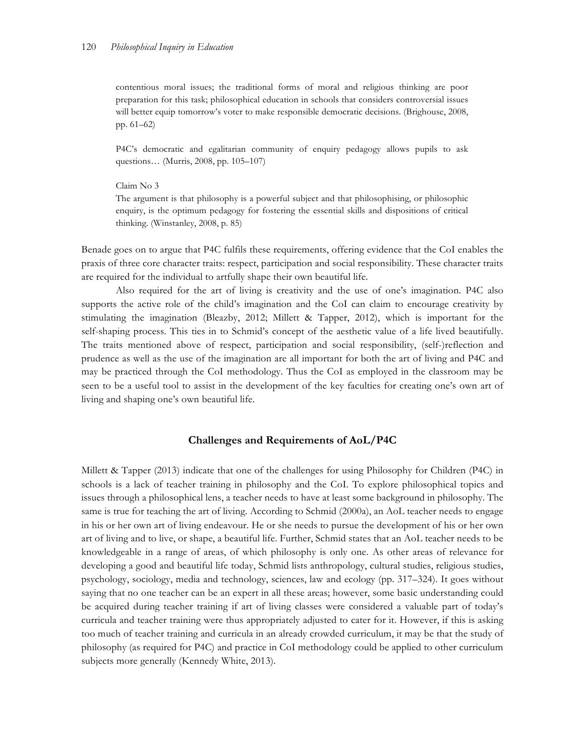contentious moral issues; the traditional forms of moral and religious thinking are poor preparation for this task; philosophical education in schools that considers controversial issues will better equip tomorrow's voter to make responsible democratic decisions. (Brighouse, 2008, pp. 61–62)

P4C's democratic and egalitarian community of enquiry pedagogy allows pupils to ask questions… (Murris, 2008, pp. 105–107)

#### Claim No 3

The argument is that philosophy is a powerful subject and that philosophising, or philosophic enquiry, is the optimum pedagogy for fostering the essential skills and dispositions of critical thinking. (Winstanley, 2008, p. 85)

Benade goes on to argue that P4C fulfils these requirements, offering evidence that the CoI enables the praxis of three core character traits: respect, participation and social responsibility. These character traits are required for the individual to artfully shape their own beautiful life.

Also required for the art of living is creativity and the use of one's imagination. P4C also supports the active role of the child's imagination and the CoI can claim to encourage creativity by stimulating the imagination (Bleazby, 2012; Millett & Tapper, 2012), which is important for the self-shaping process. This ties in to Schmid's concept of the aesthetic value of a life lived beautifully. The traits mentioned above of respect, participation and social responsibility, (self-)reflection and prudence as well as the use of the imagination are all important for both the art of living and P4C and may be practiced through the CoI methodology. Thus the CoI as employed in the classroom may be seen to be a useful tool to assist in the development of the key faculties for creating one's own art of living and shaping one's own beautiful life.

#### **Challenges and Requirements of AoL/P4C**

Millett & Tapper (2013) indicate that one of the challenges for using Philosophy for Children (P4C) in schools is a lack of teacher training in philosophy and the CoI. To explore philosophical topics and issues through a philosophical lens, a teacher needs to have at least some background in philosophy. The same is true for teaching the art of living. According to Schmid (2000a), an AoL teacher needs to engage in his or her own art of living endeavour. He or she needs to pursue the development of his or her own art of living and to live, or shape, a beautiful life. Further, Schmid states that an AoL teacher needs to be knowledgeable in a range of areas, of which philosophy is only one. As other areas of relevance for developing a good and beautiful life today, Schmid lists anthropology, cultural studies, religious studies, psychology, sociology, media and technology, sciences, law and ecology (pp. 317–324). It goes without saying that no one teacher can be an expert in all these areas; however, some basic understanding could be acquired during teacher training if art of living classes were considered a valuable part of today's curricula and teacher training were thus appropriately adjusted to cater for it. However, if this is asking too much of teacher training and curricula in an already crowded curriculum, it may be that the study of philosophy (as required for P4C) and practice in CoI methodology could be applied to other curriculum subjects more generally (Kennedy White, 2013).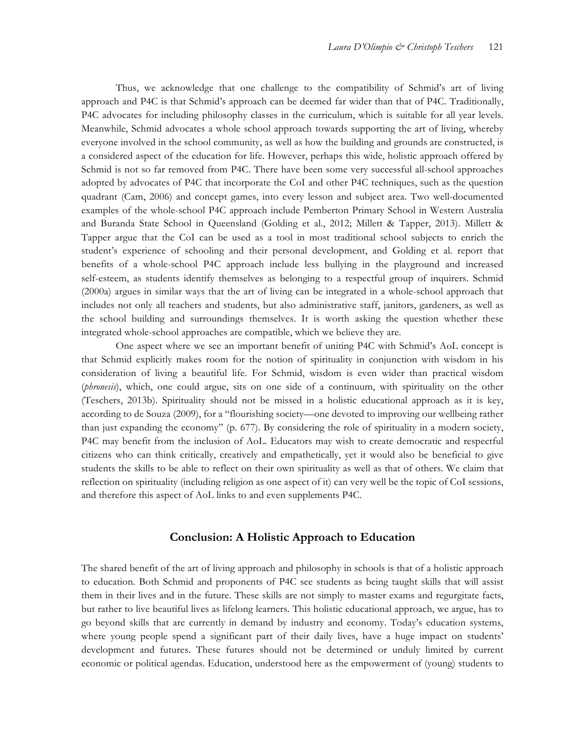Thus, we acknowledge that one challenge to the compatibility of Schmid's art of living approach and P4C is that Schmid's approach can be deemed far wider than that of P4C. Traditionally, P4C advocates for including philosophy classes in the curriculum, which is suitable for all year levels. Meanwhile, Schmid advocates a whole school approach towards supporting the art of living, whereby everyone involved in the school community, as well as how the building and grounds are constructed, is a considered aspect of the education for life. However, perhaps this wide, holistic approach offered by Schmid is not so far removed from P4C. There have been some very successful all-school approaches adopted by advocates of P4C that incorporate the CoI and other P4C techniques, such as the question quadrant (Cam, 2006) and concept games, into every lesson and subject area. Two well-documented examples of the whole-school P4C approach include Pemberton Primary School in Western Australia and Buranda State School in Queensland (Golding et al., 2012; Millett & Tapper, 2013). Millett & Tapper argue that the CoI can be used as a tool in most traditional school subjects to enrich the student's experience of schooling and their personal development, and Golding et al. report that benefits of a whole-school P4C approach include less bullying in the playground and increased self-esteem, as students identify themselves as belonging to a respectful group of inquirers. Schmid (2000a) argues in similar ways that the art of living can be integrated in a whole-school approach that includes not only all teachers and students, but also administrative staff, janitors, gardeners, as well as the school building and surroundings themselves. It is worth asking the question whether these integrated whole-school approaches are compatible, which we believe they are.

One aspect where we see an important benefit of uniting P4C with Schmid's AoL concept is that Schmid explicitly makes room for the notion of spirituality in conjunction with wisdom in his consideration of living a beautiful life. For Schmid, wisdom is even wider than practical wisdom (*phronesis*), which, one could argue, sits on one side of a continuum, with spirituality on the other (Teschers, 2013b). Spirituality should not be missed in a holistic educational approach as it is key, according to de Souza (2009), for a "flourishing society—one devoted to improving our wellbeing rather than just expanding the economy" (p. 677). By considering the role of spirituality in a modern society, P4C may benefit from the inclusion of AoL. Educators may wish to create democratic and respectful citizens who can think critically, creatively and empathetically, yet it would also be beneficial to give students the skills to be able to reflect on their own spirituality as well as that of others. We claim that reflection on spirituality (including religion as one aspect of it) can very well be the topic of CoI sessions, and therefore this aspect of AoL links to and even supplements P4C.

#### **Conclusion: A Holistic Approach to Education**

The shared benefit of the art of living approach and philosophy in schools is that of a holistic approach to education. Both Schmid and proponents of P4C see students as being taught skills that will assist them in their lives and in the future. These skills are not simply to master exams and regurgitate facts, but rather to live beautiful lives as lifelong learners. This holistic educational approach, we argue, has to go beyond skills that are currently in demand by industry and economy. Today's education systems, where young people spend a significant part of their daily lives, have a huge impact on students' development and futures. These futures should not be determined or unduly limited by current economic or political agendas. Education, understood here as the empowerment of (young) students to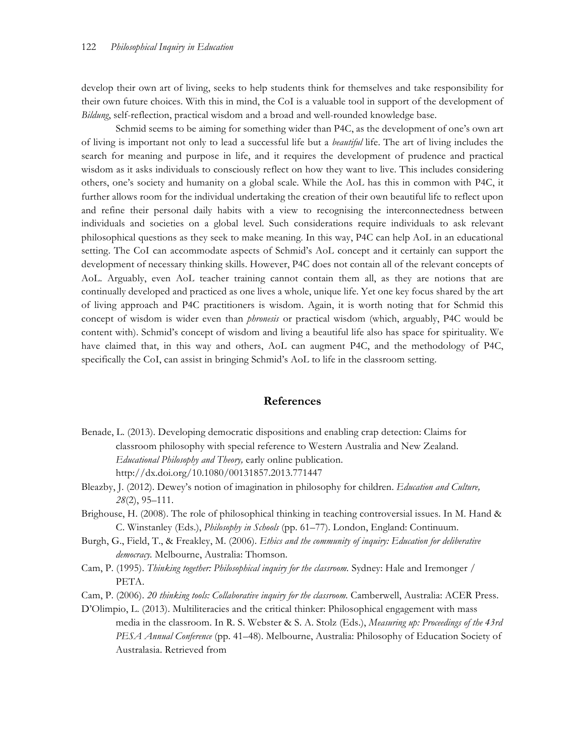develop their own art of living, seeks to help students think for themselves and take responsibility for their own future choices. With this in mind, the CoI is a valuable tool in support of the development of *Bildung*, self-reflection, practical wisdom and a broad and well-rounded knowledge base.

Schmid seems to be aiming for something wider than P4C, as the development of one's own art of living is important not only to lead a successful life but a *beautiful* life. The art of living includes the search for meaning and purpose in life, and it requires the development of prudence and practical wisdom as it asks individuals to consciously reflect on how they want to live. This includes considering others, one's society and humanity on a global scale. While the AoL has this in common with P4C, it further allows room for the individual undertaking the creation of their own beautiful life to reflect upon and refine their personal daily habits with a view to recognising the interconnectedness between individuals and societies on a global level. Such considerations require individuals to ask relevant philosophical questions as they seek to make meaning. In this way, P4C can help AoL in an educational setting. The CoI can accommodate aspects of Schmid's AoL concept and it certainly can support the development of necessary thinking skills. However, P4C does not contain all of the relevant concepts of AoL. Arguably, even AoL teacher training cannot contain them all, as they are notions that are continually developed and practiced as one lives a whole, unique life. Yet one key focus shared by the art of living approach and P4C practitioners is wisdom. Again, it is worth noting that for Schmid this concept of wisdom is wider even than *phronesis* or practical wisdom (which, arguably, P4C would be content with). Schmid's concept of wisdom and living a beautiful life also has space for spirituality. We have claimed that, in this way and others, AoL can augment P4C, and the methodology of P4C, specifically the CoI, can assist in bringing Schmid's AoL to life in the classroom setting.

#### **References**

- Benade, L. (2013). Developing democratic dispositions and enabling crap detection: Claims for classroom philosophy with special reference to Western Australia and New Zealand. *Educational Philosophy and Theory,* early online publication. http://dx.doi.org/10.1080/00131857.2013.771447
- Bleazby, J. (2012). Dewey's notion of imagination in philosophy for children. *Education and Culture, 28*(2), 95–111.
- Brighouse, H. (2008). The role of philosophical thinking in teaching controversial issues. In M. Hand & C. Winstanley (Eds.), *Philosophy in Schools* (pp. 61–77). London, England: Continuum.
- Burgh, G., Field, T., & Freakley, M. (2006). *Ethics and the community of inquiry: Education for deliberative democracy.* Melbourne, Australia: Thomson.
- Cam, P. (1995). *Thinking together: Philosophical inquiry for the classroom.* Sydney: Hale and Iremonger / PETA.

Cam, P. (2006). *20 thinking tools: Collaborative inquiry for the classroom.* Camberwell, Australia: ACER Press.

D'Olimpio, L. (2013). Multiliteracies and the critical thinker: Philosophical engagement with mass media in the classroom. In R. S. Webster & S. A. Stolz (Eds.), *Measuring up: Proceedings of the 43rd PESA Annual Conference* (pp. 41–48). Melbourne, Australia: Philosophy of Education Society of Australasia. Retrieved from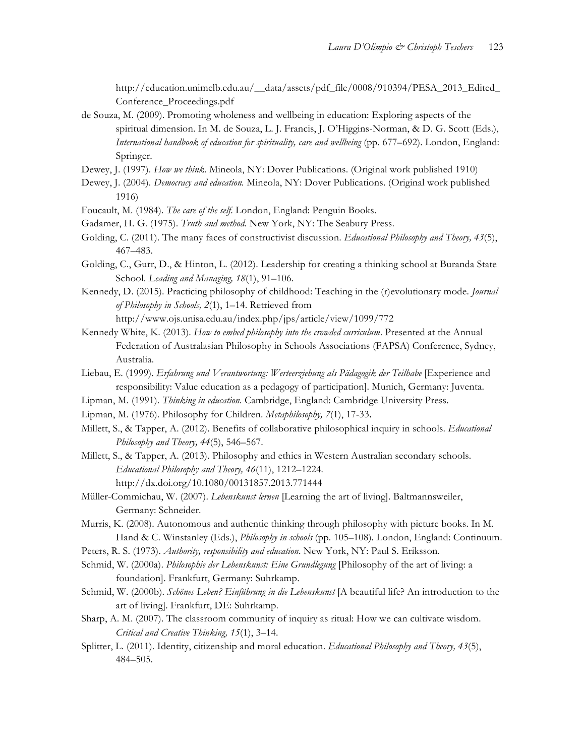http://education.unimelb.edu.au/\_\_data/assets/pdf\_file/0008/910394/PESA\_2013\_Edited\_ Conference\_Proceedings.pdf

- de Souza, M. (2009). Promoting wholeness and wellbeing in education: Exploring aspects of the spiritual dimension. In M. de Souza, L. J. Francis, J. O'Higgins-Norman, & D. G. Scott (Eds.), *International handbook of education for spirituality, care and wellbeing* (pp. 677–692). London, England: Springer.
- Dewey, J. (1997). *How we think.* Mineola, NY: Dover Publications. (Original work published 1910)
- Dewey, J. (2004). *Democracy and education.* Mineola, NY: Dover Publications. (Original work published 1916)
- Foucault, M. (1984). *The care of the self*. London, England: Penguin Books.
- Gadamer, H. G. (1975). *Truth and method*. New York, NY: The Seabury Press.
- Golding, C. (2011). The many faces of constructivist discussion. *Educational Philosophy and Theory, 43*(5), 467–483.
- Golding, C., Gurr, D., & Hinton, L. (2012). Leadership for creating a thinking school at Buranda State School. *Leading and Managing, 18*(1), 91–106.
- Kennedy, D. (2015). Practicing philosophy of childhood: Teaching in the (r)evolutionary mode. *Journal of Philosophy in Schools, 2*(1), 1–14. Retrieved from

http://www.ojs.unisa.edu.au/index.php/jps/article/view/1099/772

- Kennedy White, K. (2013). *How to embed philosophy into the crowded curriculum*. Presented at the Annual Federation of Australasian Philosophy in Schools Associations (FAPSA) Conference, Sydney, Australia.
- Liebau, E. (1999). *Erfahrung und Verantwortung: Werteerziehung als Pädagogik der Teilhabe* [Experience and responsibility: Value education as a pedagogy of participation]. Munich, Germany: Juventa.
- Lipman, M. (1991). *Thinking in education.* Cambridge, England: Cambridge University Press.
- Lipman, M. (1976). Philosophy for Children. *Metaphilosophy, 7*(1), 17-33.
- Millett, S., & Tapper, A. (2012). Benefits of collaborative philosophical inquiry in schools. *Educational Philosophy and Theory, 44*(5), 546–567.
- Millett, S., & Tapper, A. (2013). Philosophy and ethics in Western Australian secondary schools. *Educational Philosophy and Theory, 46*(11), 1212–1224*.* http://dx.doi.org/10.1080/00131857.2013.771444
- Müller-Commichau, W. (2007). *Lebenskunst lernen* [Learning the art of living]. Baltmannsweiler, Germany: Schneider.
- Murris, K. (2008). Autonomous and authentic thinking through philosophy with picture books. In M. Hand & C. Winstanley (Eds.), *Philosophy in schools* (pp. 105–108)*.* London, England: Continuum.
- Peters, R. S. (1973). *Authority, responsibility and education*. New York, NY: Paul S. Eriksson.
- Schmid, W. (2000a). *Philosophie der Lebenskunst: Eine Grundlegung* [Philosophy of the art of living: a foundation]. Frankfurt, Germany: Suhrkamp.
- Schmid, W. (2000b). *Schönes Leben? Einführung in die Lebenskunst* [A beautiful life? An introduction to the art of living]. Frankfurt, DE: Suhrkamp.
- Sharp, A. M. (2007). The classroom community of inquiry as ritual: How we can cultivate wisdom. *Critical and Creative Thinking, 15*(1), 3–14.
- Splitter, L. (2011). Identity, citizenship and moral education. *Educational Philosophy and Theory, 43*(5), 484–505.